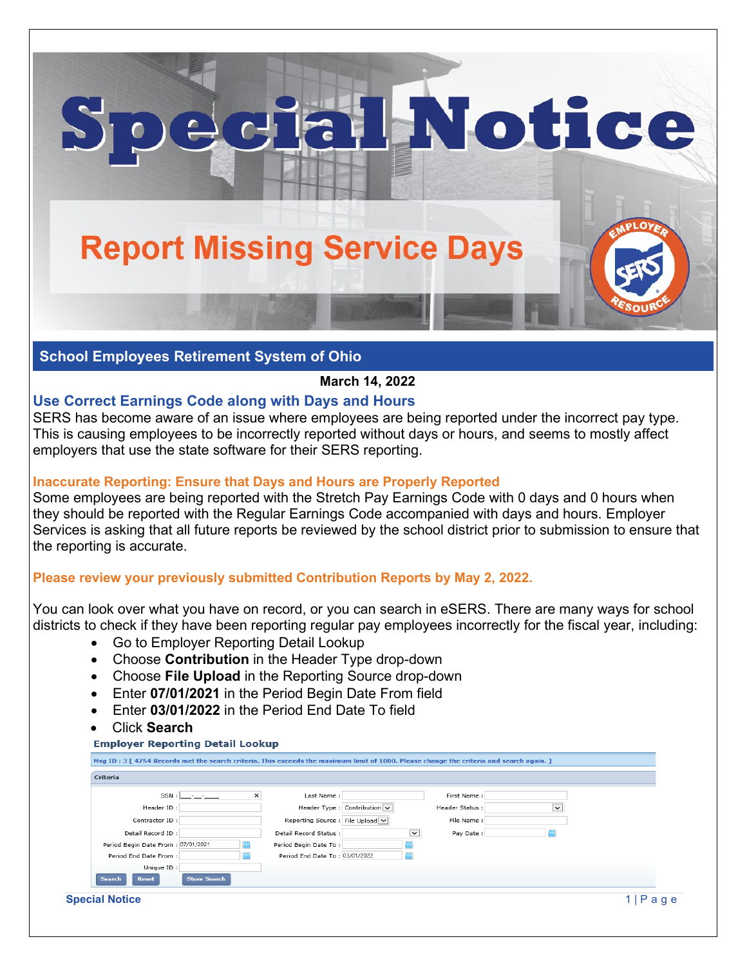# **Report Missing Service Days**

### **School Employees Retirement System of Ohio**

#### **March 14, 2022**

al Notice

## **Use Correct Earnings Code along with Days and Hours**

SERS has become aware of an issue where employees are being reported under the incorrect pay type. This is causing employees to be incorrectly reported without days or hours, and seems to mostly affect employers that use the state software for their SERS reporting.

#### **Inaccurate Reporting: Ensure that Days and Hours are Properly Reported**

Some employees are being reported with the Stretch Pay Earnings Code with 0 days and 0 hours when they should be reported with the Regular Earnings Code accompanied with days and hours. Employer Services is asking that all future reports be reviewed by the school district prior to submission to ensure that the reporting is accurate.

#### **Please review your previously submitted Contribution Reports by May 2, 2022.**

You can look over what you have on record, or you can search in eSERS. There are many ways for school districts to check if they have been reporting regular pay employees incorrectly for the fiscal year, including:

- Go to Employer Reporting Detail Lookup
- Choose **Contribution** in the Header Type drop-down
- Choose **File Upload** in the Reporting Source drop-down
- Enter **07/01/2021** in the Period Begin Date From field
- Enter **03/01/2022** in the Period End Date To field
- Click **Search**

| Criteria                           |   |                                   |                          |              |  |
|------------------------------------|---|-----------------------------------|--------------------------|--------------|--|
| SSN : I                            | × | Last Name:                        | First Name:              |              |  |
| Header ID:                         |   | Header Type : Contribution $\vee$ | Header Status:           | $\checkmark$ |  |
| Contractor ID:                     |   | Reporting Source : File Upload V  | File Name:               |              |  |
| Detail Record ID:                  |   | Detail Record Status:             | $\check{~}$<br>Pay Date: |              |  |
| Period Begin Date From: 07/01/2021 |   | Period Begin Date To:             |                          |              |  |
| Period End Date From:              |   | Period End Date To: 03/01/2022    |                          |              |  |
| Unique ID:                         |   |                                   |                          |              |  |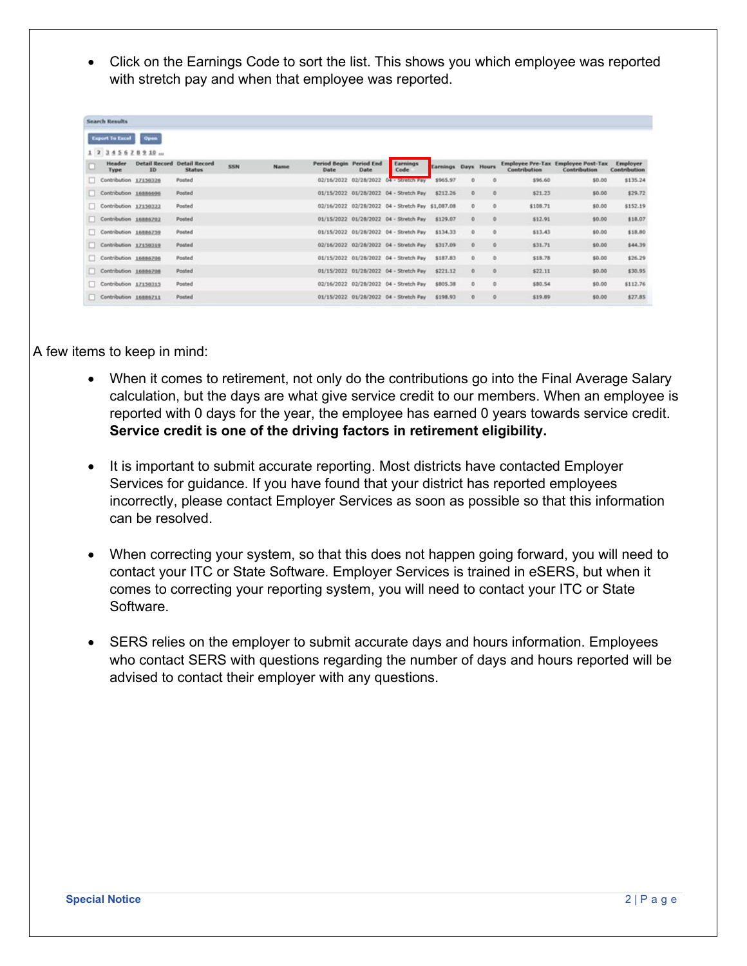• Click on the Earnings Code to sort the list. This shows you which employee was reported with stretch pay and when that employee was reported.

|     | <b>Search Results</b>                    |                                          |               |      |      |                                        |             |                                                   |                     |                     |         |              |                                                           |                          |
|-----|------------------------------------------|------------------------------------------|---------------|------|------|----------------------------------------|-------------|---------------------------------------------------|---------------------|---------------------|---------|--------------|-----------------------------------------------------------|--------------------------|
|     | <b>Export To Excel</b>                   | Open                                     |               |      |      |                                        |             |                                                   |                     |                     |         |              |                                                           |                          |
|     | 1 2 3 4 5 6 7 8 9 10 m<br>Header<br>Type | <b>Detail Record Detail Record</b><br>ID | <b>Status</b> | SSN. | Name | <b>Period Begin Period End</b><br>Date | <b>Date</b> | Earnings<br>Code                                  | Earnings Days Hours |                     |         | Contribution | <b>Employee Pre-Tax Employee Post-Tax</b><br>Contribution | Employer<br>Contribution |
| п   | Contribution 17150326                    |                                          | Posted        |      |      | 02/16/2022                             | 02/28/2022  | 04 - Stretch Pay                                  | \$965.97            | $\circ$             | ۰       | \$96.60      | \$0.00                                                    | \$135.24                 |
| r r | Contribution 16886696                    |                                          | Posted        |      |      |                                        |             | 01/15/2022 01/28/2022 04 - Stretch Pay            | \$212.26            | o                   | $\circ$ | \$21.23      | \$0.00                                                    | \$29.72                  |
| п   | Contribution 17150322                    |                                          | Posted        |      |      |                                        |             | 02/16/2022 02/28/2022 04 - Stretch Pay \$1,087.08 |                     | $\circ$             | $\circ$ | \$108.71     | \$0.00                                                    | \$152.19                 |
| n.  | Contribution 16886702                    |                                          | Posted        |      |      |                                        |             | 01/15/2022 01/28/2022 04 - Stretch Pay            | \$129.07            | $\circ$             | ø       | \$12.91      | \$0.00                                                    | \$18.07                  |
| п   | Contribution 16886759                    |                                          | Posted        |      |      |                                        |             | 01/15/2022 01/28/2022 04 - Stretch Pay            | \$134.33            | $\alpha$            | O.      | \$13.43      | \$0.00                                                    | \$18.80                  |
| ш   | Contribution 17150319                    |                                          | Posted        |      |      |                                        |             | 02/16/2022 02/28/2022 04 - Stretch Pay            | \$317.09            | $\ddot{\mathbf{O}}$ | $\circ$ | \$31.71      | \$0.00                                                    | \$44.39                  |
| o.  | Contribution 16886706                    |                                          | Posted        |      |      |                                        |             | 01/15/2022 01/28/2022 04 - Stretch Pay            | \$187.83            | $\ddot{\mathbf{0}}$ | $\circ$ | \$18.78      | \$0.00                                                    | \$26.29                  |
| n   | Contribution 16886708                    |                                          | Posted        |      |      |                                        |             | 01/15/2022 01/28/2022 04 - Stretch Pay            | \$221.12            | $\circ$             | $\circ$ | \$22.11      | \$0.00                                                    | \$30.95                  |
| п   | Contribution 17150315                    |                                          | Posted        |      |      |                                        |             | 02/16/2022 02/28/2022 04 - Stretch Pay            | \$805.38            | $\alpha$            | ø       | \$80.54      | \$0.00                                                    | \$112.76                 |
|     | Contribution 16886711                    |                                          | Posted        |      |      |                                        |             | 01/15/2022 01/28/2022 04 - Stretch Pay            | \$198.93            | $\circ$             | ø       | \$19.09      | \$0.00                                                    | \$27.85                  |

A few items to keep in mind:

- When it comes to retirement, not only do the contributions go into the Final Average Salary calculation, but the days are what give service credit to our members. When an employee is reported with 0 days for the year, the employee has earned 0 years towards service credit. **Service credit is one of the driving factors in retirement eligibility.**
- It is important to submit accurate reporting. Most districts have contacted Employer Services for guidance. If you have found that your district has reported employees incorrectly, please contact Employer Services as soon as possible so that this information can be resolved.
- When correcting your system, so that this does not happen going forward, you will need to contact your ITC or State Software. Employer Services is trained in eSERS, but when it comes to correcting your reporting system, you will need to contact your ITC or State Software.
- SERS relies on the employer to submit accurate days and hours information. Employees who contact SERS with questions regarding the number of days and hours reported will be advised to contact their employer with any questions.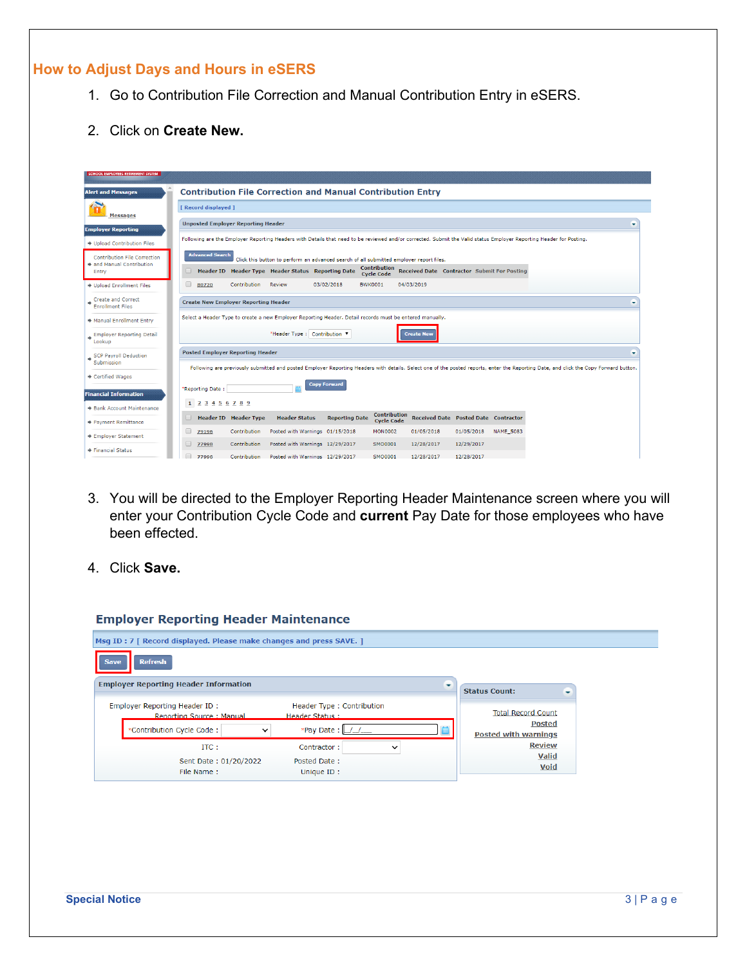# **How to Adjust Days and Hours in eSERS**

- 1. Go to Contribution File Correction and Manual Contribution Entry in eSERS.
- 2. Click on **Create New.**

| <b>Alert and Messages</b>                            | <b>Contribution File Correction and Manual Contribution Entry</b>                                                                                                                     |   |
|------------------------------------------------------|---------------------------------------------------------------------------------------------------------------------------------------------------------------------------------------|---|
|                                                      | [ Record displayed ]                                                                                                                                                                  |   |
| <b>Messages</b><br><b>Employer Reporting</b>         | <b>Unposted Employer Reporting Header</b>                                                                                                                                             | - |
| → Upload Contribution Files                          | Following are the Employer Reporting Headers with Details that need to be reviewed and/or corrected. Submit the Valid status Employer Reporting Header for Posting.                   |   |
| <b>Contribution File Correction</b>                  | <b>Advanced Search</b><br>Click this button to perform an advanced search of all submitted employer report files.                                                                     |   |
| and Manual Contribution<br>Entry                     | <b>Contribution</b><br>Header ID Header Type Header Status Reporting Date<br>Received Date Contractor Submit For Posting<br><b>Cycle Code</b>                                         |   |
| → Upload Enrollment Files                            | $\Box$<br>Contribution<br>03/02/2018<br><b>BWK0001</b><br>04/03/2019<br>80720<br>Review                                                                                               |   |
| <b>Create and Correct</b><br><b>Enrollment Files</b> | <b>Create New Employer Reporting Header</b>                                                                                                                                           |   |
| Manual Enrollment Entry                              | Select a Header Type to create a new Employer Reporting Header. Detail records must be entered manually.                                                                              |   |
| <b>Employer Reporting Detail</b><br>Lookup           | *Header Type: Contribution V<br><b>Create New</b>                                                                                                                                     |   |
| SCP Payroll Deduction                                | <b>Posted Employer Reporting Header</b>                                                                                                                                               | ٠ |
| Submission                                           | Following are previously submitted and posted Employer Reporting Headers with details. Select one of the posted reports, enter the Reporting Date, and click the Copy Forward button. |   |
| → Certified Wages                                    | <b>Copy Forward</b><br>*Reporting Date:                                                                                                                                               |   |
| <b>Financial Information</b>                         |                                                                                                                                                                                       |   |
| <b>Bank Account Maintenance</b>                      | 1 2 3 4 5 6 7 8 9<br><b>Contribution</b>                                                                                                                                              |   |
| <b>→ Payment Remittance</b>                          | <b>Header Status</b><br>Received Date Posted Date Contractor<br><b>Header ID</b> Header Type<br><b>Reporting Date</b><br><b>Cycle Code</b>                                            |   |
| <b>▶ Employer Statement</b>                          | □<br>Contribution<br>Posted with Warnings 01/15/2018<br>01/05/2018<br>79196<br><b>MON0002</b><br>01/05/2018<br><b>NAME 5083</b>                                                       |   |
| Financial Status                                     | u<br>Contribution<br>Posted with Warnings 12/29/2017<br>SMO0001<br>12/28/2017<br>12/29/2017<br>77998                                                                                  |   |
|                                                      | Contribution<br>Posted with Warnings 12/29/2017<br>SMO0001<br>12/28/2017<br>12/28/2017<br>77996                                                                                       |   |

- 3. You will be directed to the Employer Reporting Header Maintenance screen where you will enter your Contribution Cycle Code and **current** Pay Date for those employees who have been effected.
- 4. Click **Save.**

| Msg ID: 7   Record displayed. Please make changes and press SAVE. ] |                                             |   |                                              |  |
|---------------------------------------------------------------------|---------------------------------------------|---|----------------------------------------------|--|
| <b>Refresh</b><br><b>Save</b>                                       |                                             |   |                                              |  |
| <b>Employer Reporting Header Information</b>                        |                                             | ۰ | <b>Status Count:</b>                         |  |
| Employer Reporting Header ID:<br>Reporting Source: Manual           | Header Type: Contribution<br>Header Status: |   | <b>Total Record Count</b>                    |  |
| *Contribution Cycle Code:                                           | *Pay Date:                                  |   | <b>Posted</b><br><b>Posted with warnings</b> |  |
| $ITC$ :                                                             | Contractor:<br>$\check{ }$                  |   | <b>Review</b>                                |  |
| Sent Date: 01/20/2022<br>File Name:                                 | Posted Date:<br>Unique ID:                  |   | Valid<br><b>Void</b>                         |  |

#### **Employer Reporting Header Maintenance**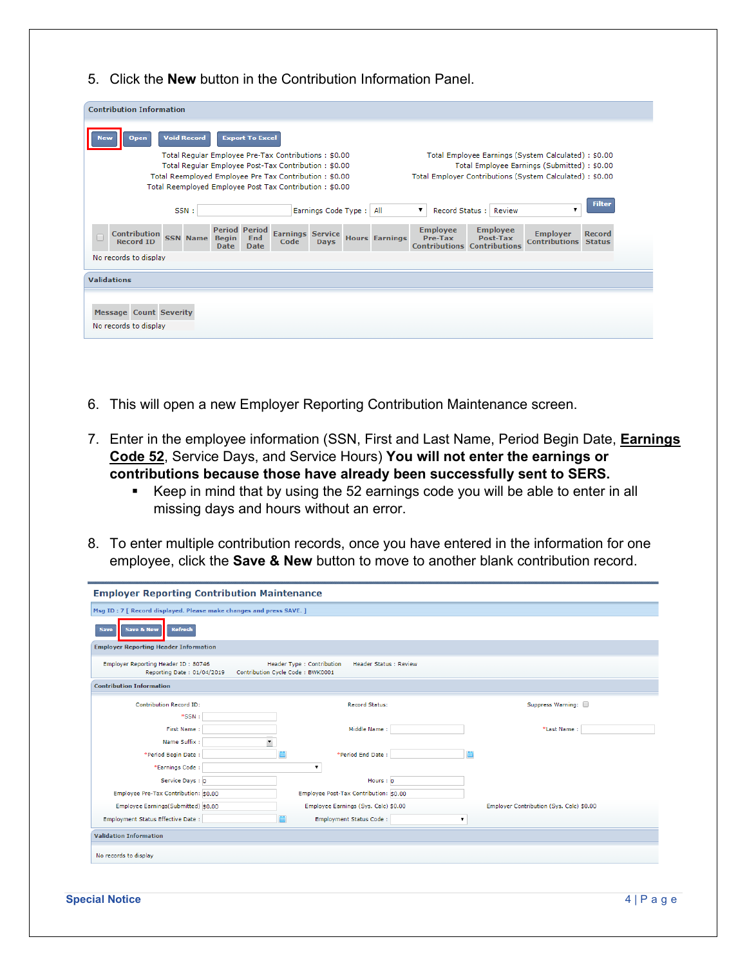5. Click the **New** button in the Contribution Information Panel.

| <b>Void Record</b><br><b>Export To Excel</b><br><b>Open</b>                                                                                                                               |                                                                                                                                                                                                       |  |  |  |  |  |
|-------------------------------------------------------------------------------------------------------------------------------------------------------------------------------------------|-------------------------------------------------------------------------------------------------------------------------------------------------------------------------------------------------------|--|--|--|--|--|
| Total Regular Employee Pre-Tax Contributions: \$0.00                                                                                                                                      | Total Employee Earnings (System Calculated) : \$0.00                                                                                                                                                  |  |  |  |  |  |
| Total Regular Employee Post-Tax Contribution: \$0.00                                                                                                                                      | Total Employee Earnings (Submitted) : \$0.00                                                                                                                                                          |  |  |  |  |  |
| Total Reemployed Employee Pre Tax Contribution: \$0.00                                                                                                                                    | Total Employer Contributions (System Calculated) : \$0.00                                                                                                                                             |  |  |  |  |  |
| Total Reemployed Employee Post Tax Contribution: \$0.00                                                                                                                                   |                                                                                                                                                                                                       |  |  |  |  |  |
| Earnings Code Type: All<br>SSN:                                                                                                                                                           | <b>Filter</b><br>Record Status:<br>Review<br>▼<br>▼                                                                                                                                                   |  |  |  |  |  |
| <b>Period Period</b><br><b>Earnings Service</b><br><b>Contribution</b><br><b>SSN Name</b><br><b>Begin</b><br>End<br>Code<br><b>Record ID</b><br><b>Days</b><br><b>Date</b><br><b>Date</b> | <b>Employee</b><br><b>Employee</b><br><b>Employer</b><br><b>Record</b><br><b>Hours Earnings</b><br>Pre-Tax<br>Post-Tax<br><b>Contributions</b><br><b>Status</b><br><b>Contributions Contributions</b> |  |  |  |  |  |
| No records to display                                                                                                                                                                     |                                                                                                                                                                                                       |  |  |  |  |  |
| <b>Validations</b>                                                                                                                                                                        |                                                                                                                                                                                                       |  |  |  |  |  |
|                                                                                                                                                                                           |                                                                                                                                                                                                       |  |  |  |  |  |
|                                                                                                                                                                                           |                                                                                                                                                                                                       |  |  |  |  |  |
| <b>Message Count Severity</b>                                                                                                                                                             |                                                                                                                                                                                                       |  |  |  |  |  |
| No records to display                                                                                                                                                                     |                                                                                                                                                                                                       |  |  |  |  |  |

- 6. This will open a new Employer Reporting Contribution Maintenance screen.
- 7. Enter in the employee information (SSN, First and Last Name, Period Begin Date, **Earnings Code 52**, Service Days, and Service Hours) **You will not enter the earnings or contributions because those have already been successfully sent to SERS.**
	- Keep in mind that by using the 52 earnings code you will be able to enter in all missing days and hours without an error.
- 8. To enter multiple contribution records, once you have entered in the information for one employee, click the **Save & New** button to move to another blank contribution record.

| <b>Employer Reporting Contribution Maintenance</b>                  |  |                                                                                                 |  |                                          |  |  |
|---------------------------------------------------------------------|--|-------------------------------------------------------------------------------------------------|--|------------------------------------------|--|--|
| Msg ID: 7 [ Record displayed. Please make changes and press SAVE. ] |  |                                                                                                 |  |                                          |  |  |
| <b>Refresh</b><br><b>Save &amp; New</b><br><b>Save</b>              |  |                                                                                                 |  |                                          |  |  |
| <b>Employer Reporting Header Information</b>                        |  |                                                                                                 |  |                                          |  |  |
| Employer Reporting Header ID: 80746<br>Reporting Date: 01/04/2019   |  | Header Type : Contribution<br><b>Header Status : Review</b><br>Contribution Cycle Code: BWK0001 |  |                                          |  |  |
| <b>Contribution Information</b>                                     |  |                                                                                                 |  |                                          |  |  |
| Contribution Record ID:                                             |  | <b>Record Status:</b>                                                                           |  | Suppress Warning:                        |  |  |
| $*SSN$ :                                                            |  |                                                                                                 |  |                                          |  |  |
| First Name:                                                         |  | Middle Name:                                                                                    |  | *Last Name:                              |  |  |
| Name Suffix:                                                        |  |                                                                                                 |  |                                          |  |  |
| *Period Begin Date:                                                 |  | *Period End Date:                                                                               |  |                                          |  |  |
| *Earnings Code:                                                     |  | ۷.                                                                                              |  |                                          |  |  |
| Service Days: 0                                                     |  | Hours: $0$                                                                                      |  |                                          |  |  |
| Employee Pre-Tax Contribution: \$0.00                               |  | Employee Post-Tax Contribution: \$0.00                                                          |  |                                          |  |  |
| Employee Earnings(Submitted) \$0.00                                 |  | Employee Earnings (Sys. Calc) \$0.00                                                            |  | Employer Contribution (Sys. Calc) \$0.00 |  |  |
| Employment Status Effective Date:                                   |  | Employment Status Code:                                                                         |  |                                          |  |  |
| <b>Validation Information</b>                                       |  |                                                                                                 |  |                                          |  |  |
| No records to display                                               |  |                                                                                                 |  |                                          |  |  |